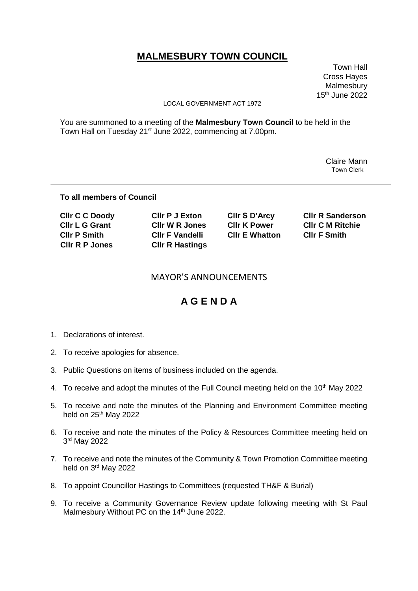# **MALMESBURY TOWN COUNCIL**

 Town Hall Cross Hayes Malmesbury 15th June 2022

#### LOCAL GOVERNMENT ACT 1972

You are summoned to a meeting of the **Malmesbury Town Council** to be held in the Town Hall on Tuesday 21<sup>st</sup> June 2022, commencing at 7.00pm.

> Claire Mann Town Clerk

### **To all members of Council**

| <b>CIIr C C Doody</b> | <b>CIIr P J Exton</b>  | CIIr S D'Arcy         | <b>CIIr R Sanderson</b> |
|-----------------------|------------------------|-----------------------|-------------------------|
| <b>CIIr L G Grant</b> | <b>CIIr W R Jones</b>  | <b>CIIr K Power</b>   | <b>CIIr C M Ritchie</b> |
| <b>CIIr P Smith</b>   | <b>CIIr F Vandelli</b> | <b>CIIr E Whatton</b> | <b>CIIr F Smith</b>     |
| <b>CIIr R P Jones</b> | <b>CIIr R Hastings</b> |                       |                         |

### MAYOR'S ANNOUNCEMENTS

## **A G E N D A**

- 1. Declarations of interest.
- 2. To receive apologies for absence.
- 3. Public Questions on items of business included on the agenda.
- 4. To receive and adopt the minutes of the Full Council meeting held on the 10<sup>th</sup> May 2022
- 5. To receive and note the minutes of the Planning and Environment Committee meeting held on 25<sup>th</sup> May 2022
- 6. To receive and note the minutes of the Policy & Resources Committee meeting held on 3 rd May 2022
- 7. To receive and note the minutes of the Community & Town Promotion Committee meeting held on 3<sup>rd</sup> May 2022
- 8. To appoint Councillor Hastings to Committees (requested TH&F & Burial)
- 9. To receive a Community Governance Review update following meeting with St Paul Malmesbury Without PC on the 14<sup>th</sup> June 2022.